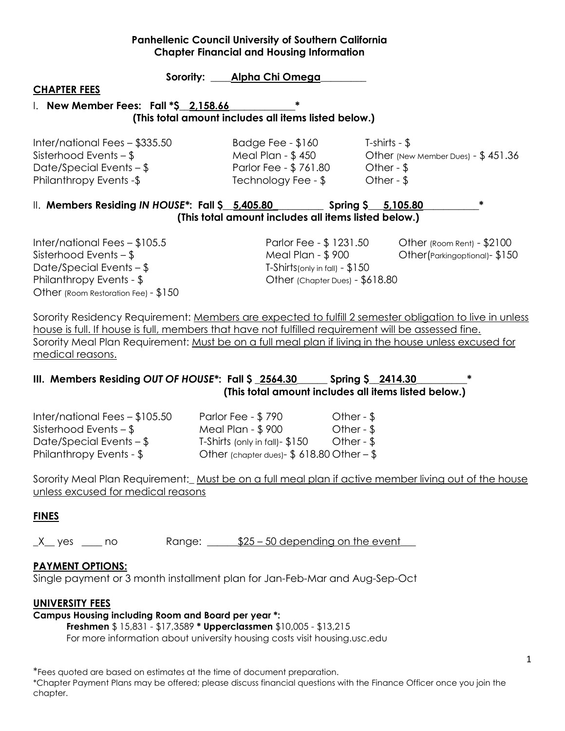# Sorority: **Alpha Chi Omega CHAPTER FEES** I. **New Member Fees: Fall \*\$\_\_2,158.66\_\_\_\_\_\_\_\_\_\_\_\_\_\* (This total amount includes all items listed below.)** Inter/national Fees – \$335.50 Badge Fee - \$160 T-shirts - \$

Date/Special Events – \$ 761.80 Other - \$ Philanthropy Events -\$ Technology Fee - \$ Other - \$

Sisterhood Events – \$ Meal Plan - \$ 450 Other (New Member Dues) - \$ 451.36

# II. **Members Residing** *IN HOUSE\****: Fall \$\_\_5,405.80\_\_\_\_\_\_\_\_\_\_ Spring \$\_\_\_5,105.80\_\_\_\_\_\_\_\_\_\_\_\* (This total amount includes all items listed below.)**

Inter/national Fees – \$105.5 Parlor Fee - \$ 1231.50 Other (Room Rent) - \$2100 Sisterhood Events – \$ Meal Plan - \$ 900 Other(Parkingoptional)- \$150 Date/Special Events –  $\frac{1}{2}$  T-Shirts(only in fall) -  $\frac{1}{2}$ 150 Philanthropy Events - \$ Other (Chapter Dues) - \$618.80 Other (Room Restoration Fee) - \$150

Sorority Residency Requirement: Members are expected to fulfill 2 semester obligation to live in unless house is full. If house is full, members that have not fulfilled requirement will be assessed fine. Sorority Meal Plan Requirement: Must be on a full meal plan if living in the house unless excused for medical reasons.

# **III. Members Residing** *OUT OF HOUSE\****: Fall \$ \_2564.30\_\_\_\_\_\_ Spring \$\_\_2414.30\_\_\_\_\_\_\_\_\_\_\* (This total amount includes all items listed below.)**

Philanthropy Events - \$ Other (chapter dues)- \$ 618.80 Other – \$

Inter/national Fees – \$105.50 Parlor Fee - \$ 790 Other - \$ Sisterhood Events – \$ Meal Plan - \$ 900 Other - \$ Date/Special Events – \$ T-Shirts (only in fall)- \$150 Other - \$

Sorority Meal Plan Requirement: Must be on a full meal plan if active member living out of the house unless excused for medical reasons

# **FINES**

 $X$  yes  $\_\_$  no Range:  $\_\_$ \$25 – 50 depending on the event

# **PAYMENT OPTIONS:**

Single payment or 3 month installment plan for Jan-Feb-Mar and Aug-Sep-Oct

# **UNIVERSITY FEES**

# **Campus Housing including Room and Board per year \*:**

**Freshmen** \$ 15,831 - \$17,3589 **\* Upperclassmen** \$10,005 - \$13,215

For more information about university housing costs visit housing.usc.edu

\*Fees quoted are based on estimates at the time of document preparation.

\*Chapter Payment Plans may be offered; please discuss financial questions with the Finance Officer once you join the chapter.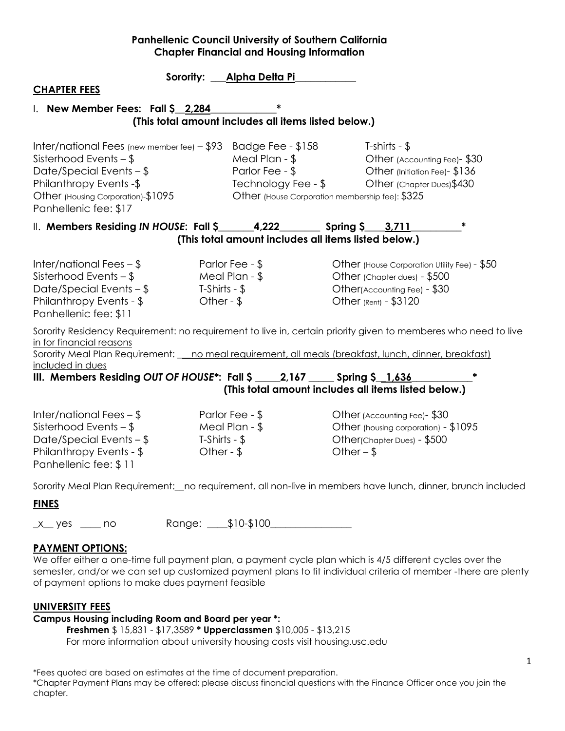|                                                                                           | Sorority: Alpha Delta Pi |                                                                                                                |  |
|-------------------------------------------------------------------------------------------|--------------------------|----------------------------------------------------------------------------------------------------------------|--|
| <b>CHAPTER FEES</b>                                                                       |                          |                                                                                                                |  |
| I. New Member Fees: Fall \$2,284                                                          |                          |                                                                                                                |  |
|                                                                                           |                          | (This total amount includes all items listed below.)                                                           |  |
|                                                                                           |                          |                                                                                                                |  |
| Inter/national Fees (new member fee) $-$ \$93                                             |                          | Badge Fee - \$158<br>T-shirts - $$$                                                                            |  |
| Sisterhood Events $-$ \$                                                                  | Meal Plan - \$           | Other (Accounting Fee)-\$30                                                                                    |  |
| Date/Special Events $-$ \$<br>Philanthropy Events -\$                                     | Parlor Fee - \$          | Other (Initiation Fee)- \$136<br>Technology Fee - \$<br>Other (Chapter Dues) \$430                             |  |
| Other (Housing Corporation)-\$1095                                                        |                          | Other (House Corporation membership fee): \$325                                                                |  |
| Panhellenic fee: \$17                                                                     |                          |                                                                                                                |  |
| II. Members Residing IN HOUSE: Fall \$________4,222___________ Spring \$____3,711         |                          |                                                                                                                |  |
|                                                                                           |                          | (This total amount includes all items listed below.)                                                           |  |
|                                                                                           |                          |                                                                                                                |  |
| Inter/national Fees $-$ \$                                                                | Parlor Fee - \$          | Other (House Corporation Utility Fee) - \$50                                                                   |  |
| Sisterhood Events $-$ \$                                                                  | Meal Plan - \$           | Other (Chapter dues) - \$500                                                                                   |  |
| Date/Special Events $-$ \$                                                                | T-Shirts - $$$           | Other(Accounting Fee) - \$30                                                                                   |  |
| Philanthropy Events - \$<br>Panhellenic fee: \$11                                         | Other - $$$              | Other (Rent) - \$3120                                                                                          |  |
|                                                                                           |                          |                                                                                                                |  |
| in for financial reasons                                                                  |                          | Sorority Residency Requirement: no requirement to live in, certain priority given to memberes who need to live |  |
|                                                                                           |                          | Sorority Meal Plan Requirement: _ no meal requirement, all meals (breakfast, lunch, dinner, breakfast)         |  |
| included in dues                                                                          |                          |                                                                                                                |  |
| III. Members Residing OUT OF HOUSE <sup>*</sup> : Fall $\zeta$ 2,167 Spring $\zeta$ 1,636 |                          |                                                                                                                |  |
|                                                                                           |                          | (This total amount includes all items listed below.)                                                           |  |
| Inter/national Fees $-$ \$                                                                | Parlor Fee - \$          | Other (Accounting Fee)-\$30                                                                                    |  |
| Sisterhood Events $-$ \$                                                                  | Meal Plan - \$           | Other (housing corporation) - \$1095                                                                           |  |
| Date/Special Events $-$ \$                                                                | T-Shirts - $$$           | Other(Chapter Dues) - \$500                                                                                    |  |
| Philanthropy Events - \$                                                                  | Other - $$$              | Other $-$ \$                                                                                                   |  |
| Panhellenic fee: \$11                                                                     |                          |                                                                                                                |  |
|                                                                                           |                          | Sorority Meal Plan Requirement: no requirement, all non-live in members have lunch, dinner, brunch included    |  |
| <b>FINES</b>                                                                              |                          |                                                                                                                |  |
|                                                                                           |                          |                                                                                                                |  |
| $x$ yes $\frac{1}{x}$ no                                                                  | Range: \$10-\$100        |                                                                                                                |  |
| <b>PAYMENT OPTIONS:</b>                                                                   |                          |                                                                                                                |  |

We offer either a one-time full payment plan, a payment cycle plan which is 4/5 different cycles over the semester, and/or we can set up customized payment plans to fit individual criteria of member -there are plenty of payment options to make dues payment feasible

#### **UNIVERSITY FEES**

### **Campus Housing including Room and Board per year \*:**

**Freshmen** \$ 15,831 - \$17,3589 **\* Upperclassmen** \$10,005 - \$13,215 For more information about university housing costs visit housing.usc.edu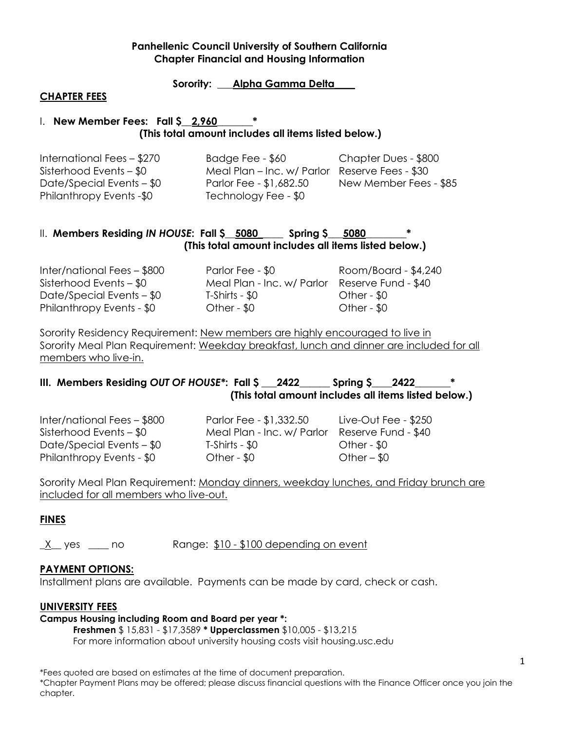**Sorority: \_\_\_Alpha Gamma Delta\_\_\_\_**

#### **CHAPTER FEES**

### 1. **New Member Fees: Fall \$ 2,960 (This total amount includes all items listed below.)**

| International Fees - \$270  | Badge Fee - \$60                               | Chapter Dues - \$800   |
|-----------------------------|------------------------------------------------|------------------------|
| Sisterhood Events $-$ \$0   | Meal Plan - Inc. w/ Parlor Reserve Fees - \$30 |                        |
| Date/Special Events $-$ \$0 | Parlor Fee - \$1,682.50                        | New Member Fees - \$85 |
| Philanthropy Events -\$0    | Technology Fee - \$0                           |                        |

#### II. **Members Residing** *IN HOUSE***: Fall \$\_\_5080\_\_\_\_\_ Spring \$\_\_\_5080\_\_\_\_\_\_\_\_\* (This total amount includes all items listed below.)**

| Inter/national Fees - \$800 | Parlor Fee - \$0           | Room/Board - \$4,240 |
|-----------------------------|----------------------------|----------------------|
| Sisterhood Events $-$ \$0   | Meal Plan - Inc. w/ Parlor | Reserve Fund - \$40  |
| Date/Special Events $-$ \$0 | T-Shirts - \$0             | Other - $$0$         |
| Philanthropy Events - \$0   | Other - $$0$               | Other - $$0$         |

Sorority Residency Requirement: New members are highly encouraged to live in Sorority Meal Plan Requirement: Weekday breakfast, lunch and dinner are included for all members who live-in.

# **III. Members Residing** *OUT OF HOUSE\****: Fall \$ \_\_\_2422\_\_\_\_\_\_ Spring \$\_\_\_\_2422\_\_\_\_\_\_\_\* (This total amount includes all items listed below.)**

Inter/national Fees – \$800 Parlor Fee - \$1,332.50 Live-Out Fee - \$250 Philanthropy Events - \$0 Other - \$0 Other – \$0

Sisterhood Events – \$0 Meal Plan - Inc. w/ Parlor Reserve Fund - \$40 Date/Special Events – \$0 T-Shirts - \$0 Other - \$0

Sorority Meal Plan Requirement: Monday dinners, weekday lunches, and Friday brunch are included for all members who live-out.

# **FINES**

X yes no Range: \$10 - \$100 depending on event

#### **PAYMENT OPTIONS:**

Installment plans are available. Payments can be made by card, check or cash.

#### **UNIVERSITY FEES**

#### **Campus Housing including Room and Board per year \*:**

**Freshmen** \$ 15,831 - \$17,3589 **\* Upperclassmen** \$10,005 - \$13,215 For more information about university housing costs visit housing.usc.edu

\*Fees quoted are based on estimates at the time of document preparation.

\*Chapter Payment Plans may be offered; please discuss financial questions with the Finance Officer once you join the chapter.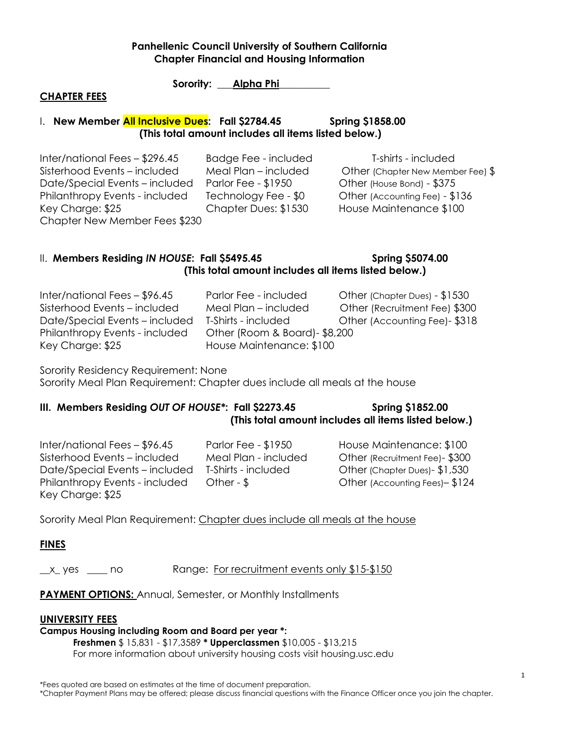Sorority: **Alpha Phi** 

#### **CHAPTER FEES**

#### 1. **New Member <mark>All Inclusive Dues</mark>: Fall \$2784.45 Spring \$1858.00 (This total amount includes all items listed below.)**

Inter/national Fees – \$296.45 Badge Fee - included T-shirts - included Sisterhood Events – included Meal Plan – included Other (Chapter New Member Fee) \$ Date/Special Events – included Parlor Fee - \$1950 Other (House Bond) - \$375 Philanthropy Events - included Technology Fee - \$0 Other (Accounting Fee) - \$136 Key Charge: \$25 Chapter Dues: \$1530 House Maintenance \$100 Chapter New Member Fees \$230

# II. Members Residing *IN HOUSE*: Fall \$5495.45 Spring \$5074.00  **(This total amount includes all items listed below.)**

| Inter/national Fees - \$96.45  | Parlor Fee - included          | Other (Chapter Dues) - \$1530 |
|--------------------------------|--------------------------------|-------------------------------|
| Sisterhood Events - included   | Meal Plan - included           | Other (Recruitment Fee) \$300 |
| Date/Special Events – included | T-Shirts - included            | Other (Accounting Fee)-\$318  |
| Philanthropy Events - included | Other (Room & Board) - \$8,200 |                               |
| Key Charge: \$25               | House Maintenance: \$100       |                               |

Sorority Residency Requirement: None Sorority Meal Plan Requirement: Chapter dues include all meals at the house

# **III. Members Residing OUT OF HOUSE\*: Fall \$2273.45 Spring \$1852.00 (This total amount includes all items listed below.)**

Inter/national Fees – \$96.45 Parlor Fee - \$1950 House Maintenance: \$100 Sisterhood Events – included Meal Plan - included Other (Recruitment Fee)- \$300 Date/Special Events – included T-Shirts - included Other (Chapter Dues)- \$1,530 Philanthropy Events - included Other - \$ Other (Accounting Fees) - \$124 Key Charge: \$25

Sorority Meal Plan Requirement: Chapter dues include all meals at the house

# **FINES**

\_x\_yes \_\_\_\_ no Range: For recruitment events only \$15-\$150

**PAYMENT OPTIONS: Annual, Semester, or Monthly Installments** 

#### **UNIVERSITY FEES**

#### **Campus Housing including Room and Board per year \*:**

**Freshmen** \$ 15,831 - \$17,3589 **\* Upperclassmen** \$10,005 - \$13,215 For more information about university housing costs visit housing.usc.edu

\*Fees quoted are based on estimates at the time of document preparation.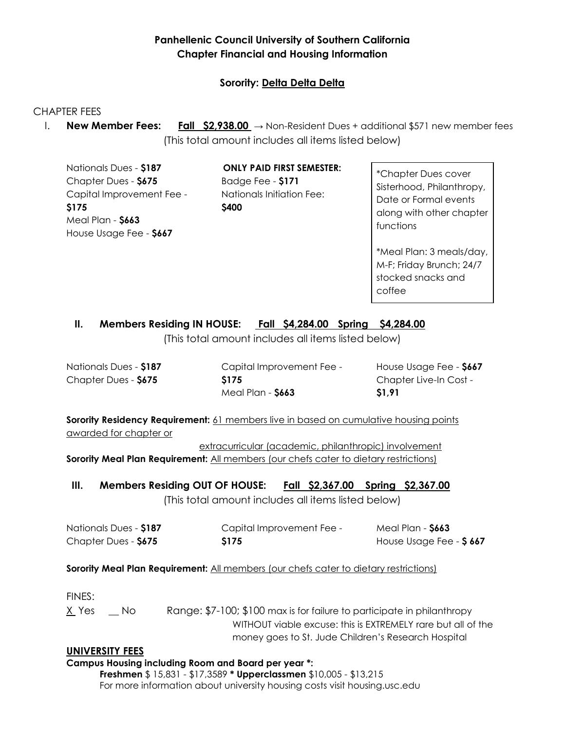# **Sorority: Delta Delta Delta**

### CHAPTER FEES

I. **New Member Fees: Fall \$2,938.00** → Non-Resident Dues + additional \$571 new member fees (This total amount includes all items listed below)

Nationals Dues - **\$187** Chapter Dues - **\$675** Capital Improvement Fee - **\$175** Meal Plan - **\$663** House Usage Fee - **\$667**

**ONLY PAID FIRST SEMESTER:** Badge Fee - **\$171** Nationals Initiation Fee: **\$400**

\*Chapter Dues cover Sisterhood, Philanthropy, Date or Formal events along with other chapter functions

\*Meal Plan: 3 meals/day, M-F; Friday Brunch; 24/7 stocked snacks and coffee

# **II. Members Residing IN HOUSE: Fall \$4,284.00 Spring \$4,284.00**

(This total amount includes all items listed below)

Nationals Dues - **\$187** Chapter Dues - **\$675**

Capital Improvement Fee - **\$175** Meal Plan - **\$663**

House Usage Fee - **\$667** Chapter Live-In Cost - **\$1,91**

**Sorority Residency Requirement:** 61 members live in based on cumulative housing points awarded for chapter or

extracurricular (academic, philanthropic) involvement **Sorority Meal Plan Requirement:** All members (our chefs cater to dietary restrictions)

**III. Members Residing OUT OF HOUSE: Fall \$2,367.00 Spring \$2,367.00**

(This total amount includes all items listed below)

| Nationals Dues - \$187 | Capital Improvement Fee - | Meal Plan - <b>\$663</b> |
|------------------------|---------------------------|--------------------------|
| Chapter Dues - \$675   | <b>S175</b>               | House Usage Fee - \$667  |

#### **Sorority Meal Plan Requirement:** All members (our chefs cater to dietary restrictions)

FINES:

X Yes No Range: \$7-100; \$100 max is for failure to participate in philanthropy WITHOUT viable excuse: this is EXTREMELY rare but all of the money goes to St. Jude Children's Research Hospital

#### **UNIVERSITY FEES**

**Campus Housing including Room and Board per year \*:** 

**Freshmen** \$ 15,831 - \$17,3589 **\* Upperclassmen** \$10,005 - \$13,215 For more information about university housing costs visit housing.usc.edu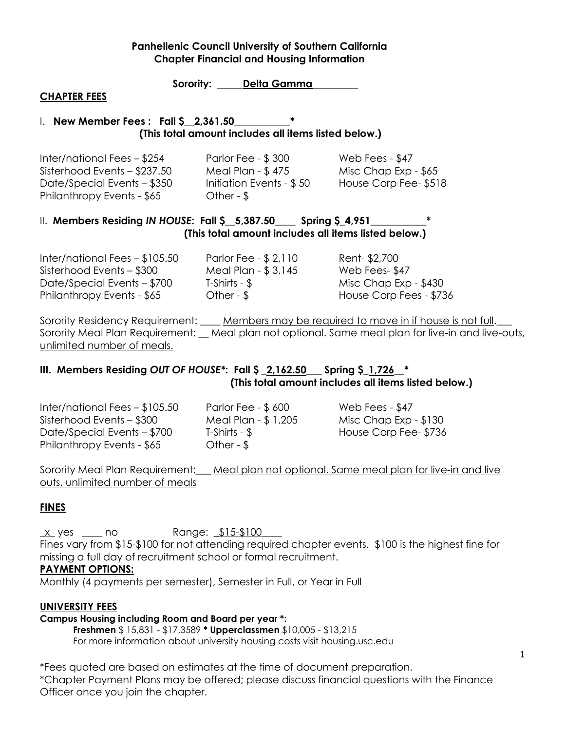**Sorority: \_\_\_\_\_Delta Gamma\_\_\_\_\_\_\_\_\_**

#### **CHAPTER FEES**

#### I. **New Member Fees : Fall \$\_\_2,361.50\_\_\_\_\_\_\_\_\_\_\_\* (This total amount includes all items listed below.)**

| Inter/national Fees - \$254  | Parlor Fee - \$300       | Web Fees - \$47      |
|------------------------------|--------------------------|----------------------|
| Sisterhood Events - \$237.50 | Meal Plan - \$475        | Misc Chap Exp - \$65 |
| Date/Special Events - \$350  | Initiation Events - \$50 | House Corp Fee-\$518 |
| Philanthropy Events - \$65   | Other - $\sqrt{5}$       |                      |

#### II. Members Residing *IN HOUSE*: Fall \$ 5,387.50 Spring \$4,951  **(This total amount includes all items listed below.)**

Inter/national Fees – \$105.50 Parlor Fee - \$ 2,110 Rent- \$2,700 Sisterhood Events – \$300 Meal Plan - \$ 3,145 Web Fees- \$47 Date/Special Events – \$700 T-Shirts - \$ Misc Chap Exp - \$430 Philanthropy Events - \$65 Cther - \$ House Corp Fees - \$736

Sorority Residency Requirement: Members may be required to move in if house is not full. Sorority Meal Plan Requirement: Meal plan not optional. Same meal plan for live-in and live-outs, unlimited number of meals.

### **III. Members Residing** *OUT OF HOUSE\****: Fall \$ \_2,162.50\_\_\_ Spring \$\_1,726\_\_\* (This total amount includes all items listed below.)**

Inter/national Fees – \$105.50 Parlor Fee - \$ 600 Web Fees - \$47 Sisterhood Events – \$300 Meal Plan - \$ 1,205 Misc Chap Exp - \$130 Date/Special Events – \$700 T-Shirts - \$ House Corp Fee- \$736 Philanthropy Events - \$65 Other - \$

Sorority Meal Plan Requirement: Meal plan not optional. Same meal plan for live-in and live outs, unlimited number of meals

# **FINES**

x\_ yes \_\_\_\_ no Range: \$15-\$100\_ Fines vary from \$15-\$100 for not attending required chapter events. \$100 is the highest fine for missing a full day of recruitment school or formal recruitment.

#### **PAYMENT OPTIONS:**

Monthly (4 payments per semester), Semester in Full, or Year in Full

#### **UNIVERSITY FEES**

### **Campus Housing including Room and Board per year \*:**

**Freshmen** \$ 15,831 - \$17,3589 **\* Upperclassmen** \$10,005 - \$13,215 For more information about university housing costs visit housing.usc.edu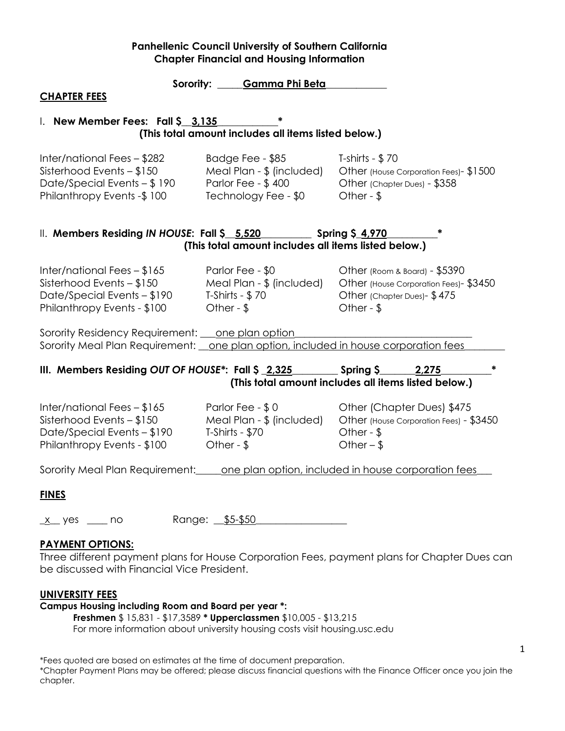|                                                                                                                                                      | Sorority: Gamma Phi Beta                                                                    |                                                                                                                        |  |  |  |
|------------------------------------------------------------------------------------------------------------------------------------------------------|---------------------------------------------------------------------------------------------|------------------------------------------------------------------------------------------------------------------------|--|--|--|
| <b>CHAPTER FEES</b>                                                                                                                                  |                                                                                             |                                                                                                                        |  |  |  |
|                                                                                                                                                      | I. New Member Fees: Fall \$ 3,135<br>(This total amount includes all items listed below.)   |                                                                                                                        |  |  |  |
| Inter/national Fees - \$282<br>Sisterhood Events – \$150<br>Date/Special Events – \$190<br>Philanthropy Events -\$100                                | Badge Fee - \$85<br>Meal Plan - \$ (included)<br>Parlor Fee - \$400<br>Technology Fee - \$0 | T-shirts - $$70$<br>Other (House Corporation Fees) - \$1500<br>Other (Chapter Dues) - \$358<br>Other - $$$             |  |  |  |
| II. Members Residing IN HOUSE: Fall \$_5,520 _________ Spring \$_4,970                                                                               | (This total amount includes all items listed below.)                                        |                                                                                                                        |  |  |  |
| Inter/national Fees - \$165<br>Sisterhood Events - \$150<br>Date/Special Events - \$190<br>Philanthropy Events - \$100                               | Parlor Fee - \$0<br>Meal Plan - \$ (included)<br>T-Shirts - $$70$<br>Other - $$$            | Other (Room & Board) - \$5390<br>Other (House Corporation Fees)- \$3450<br>Other (Chapter Dues) - \$475<br>Other - $$$ |  |  |  |
| Sorority Residency Requirement: <u>one plan option</u><br>Sorority Meal Plan Requirement: <u>one plan option, included in house corporation fees</u> |                                                                                             |                                                                                                                        |  |  |  |
| III. Members Residing OUT OF HOUSE <sup>*</sup> : Fall \$ 2,325 Spring \$                                                                            |                                                                                             | 2,275<br>(This total amount includes all items listed below.)                                                          |  |  |  |
| Inter/national Fees – \$165<br>Sisterhood Events – \$150<br>Date/Special Events - \$190<br>Philanthropy Events - \$100                               | Parlor Fee - \$0<br>Meal Plan - \$ (included)<br>T-Shirts - \$70<br>Other - $$$             | Other (Chapter Dues) \$475<br>Other (House Corporation Fees) - \$3450<br>Other - $$$<br>Other $-$ \$                   |  |  |  |
| Sorority Meal Plan Requirement: one plan option, included in house corporation fees                                                                  |                                                                                             |                                                                                                                        |  |  |  |
| <b>FINES</b>                                                                                                                                         |                                                                                             |                                                                                                                        |  |  |  |
| Range:<br>no<br><u>x</u> yes                                                                                                                         | $$5-$50$                                                                                    |                                                                                                                        |  |  |  |

#### **PAYMENT OPTIONS:**

Three different payment plans for House Corporation Fees, payment plans for Chapter Dues can be discussed with Financial Vice President.

#### **UNIVERSITY FEES**

# **Campus Housing including Room and Board per year \*:**

**Freshmen** \$ 15,831 - \$17,3589 **\* Upperclassmen** \$10,005 - \$13,215

For more information about university housing costs visit housing.usc.edu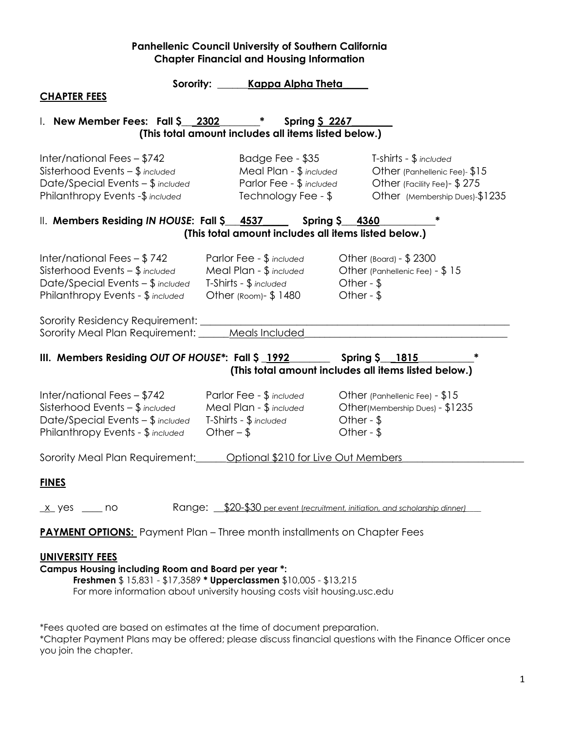| Sorority:                                                                                                                                    | Kappa Alpha Theta                                                                                     |                                                                                                                           |  |  |
|----------------------------------------------------------------------------------------------------------------------------------------------|-------------------------------------------------------------------------------------------------------|---------------------------------------------------------------------------------------------------------------------------|--|--|
| <b>CHAPTER FEES</b>                                                                                                                          |                                                                                                       |                                                                                                                           |  |  |
| 1. New Member Fees: Fall $\frac{2302}{ }$ *                                                                                                  | <b>Spring \$ 2267</b><br>(This total amount includes all items listed below.)                         |                                                                                                                           |  |  |
| Inter/national Fees - \$742<br>Sisterhood Events $-$ \$ included<br>Date/Special Events - \$ included<br>Philanthropy Events -\$ included    | Badge Fee - \$35<br>Meal Plan - \$ included<br>Parlor Fee - \$ included<br>Technology Fee - \$        | T-shirts - \$ included<br>Other (Panhellenic Fee)- \$15<br>Other (Facility Fee) - \$275<br>Other (Membership Dues)-\$1235 |  |  |
| II. Members Residing IN HOUSE: Fall \$ 4537 Spring \$ 4360                                                                                   | (This total amount includes all items listed below.)                                                  |                                                                                                                           |  |  |
| Inter/national Fees $-$ \$742<br>Sisterhood Events $-$ \$ included<br>Date/Special Events - \$ included<br>Philanthropy Events - \$ included | Parlor Fee - \$ included<br>Meal Plan - \$ included<br>T-Shirts - \$ included<br>Other (Room)- \$1480 | Other (Board) - \$2300<br>Other (Panhellenic Fee) - \$15<br>Other - $$$<br>Other - $$$                                    |  |  |
| Sorority Residency Requirement:<br>Sorority Meal Plan Requirement: _____ Meals Included                                                      |                                                                                                       |                                                                                                                           |  |  |
| III. Members Residing OUT OF HOUSE*: Fall \$ 1992<br>Spring \$ 1815<br>(This total amount includes all items listed below.)                  |                                                                                                       |                                                                                                                           |  |  |
| Inter/national Fees - \$742<br>Sisterhood Events $-$ \$ included<br>Date/Special Events - \$ included<br>Philanthropy Events - \$ included   | Parlor Fee - \$ included<br>Meal Plan - \$ included<br>T-Shirts - \$ included<br>Other $-$ \$         | Other (Panhellenic Fee) - \$15<br>Other(Membership Dues) - \$1235<br>Other - $$$<br>Other - $$$                           |  |  |
| Sorority Meal Plan Requirement: <b>Continue 18</b> 0210 for Live Out Members                                                                 |                                                                                                       |                                                                                                                           |  |  |
| <b>FINES</b>                                                                                                                                 |                                                                                                       |                                                                                                                           |  |  |
| $x$ yes $\frac{1}{x}$ no                                                                                                                     | Range: \$20-\$30 per event (recruitment, initiation, and scholarship dinner)                          |                                                                                                                           |  |  |
| <b>PAYMENT OPTIONS:</b> Payment Plan - Three month installments on Chapter Fees                                                              |                                                                                                       |                                                                                                                           |  |  |

#### **UNIVERSITY FEES**

#### **Campus Housing including Room and Board per year \*:**

**Freshmen** \$ 15,831 - \$17,3589 **\* Upperclassmen** \$10,005 - \$13,215 For more information about university housing costs visit housing.usc.edu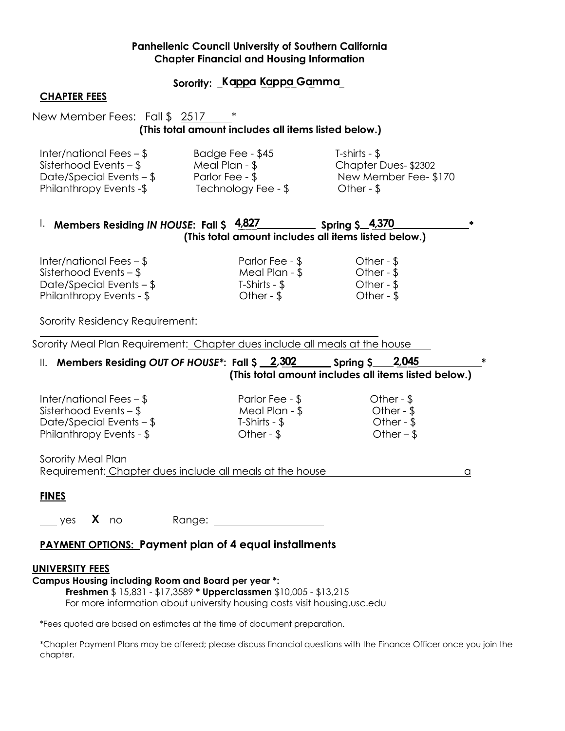### **Sorority: \_Ka\_p\_p\_a K\_a\_pp\_a\_G a\_mma\_**

#### **CHAPTER FEES**

# New Member Fees: Fall \$ 2517 **(This total amount includes all items listed below.)**

| Inter/national Fees $-$ \$     | Badge Fee - \$45               | T-shirts - $\$\$      |
|--------------------------------|--------------------------------|-----------------------|
| Sisterhood Events $-$ \$       | Meal Plan - $\frac{6}{3}$      | Chapter Dues-\$2302   |
| Date/Special Events $-$ \$     | Parlor Fee - \$                | New Member Fee- \$170 |
| <b>Philanthropy Events -\$</b> | Technology Fee - $\frac{1}{2}$ | Other - $$$           |

## I. **Members Residing** *IN HOUSE***: Fall \$ 4\_,8\_2\_7 Spring \$ 4\_,\_3\_7\_0 \* (This total amount includes all items listed below.)**

| Inter/national Fees $-$ \$ | Parlor Fee - \$    | Other - $$$ |
|----------------------------|--------------------|-------------|
| Sisterhood Events – \$     | Meal Plan - \$     | Other - $$$ |
| Date/Special Events $-$ \$ | T-Shirts - \$      | Other - $$$ |
| Philanthropy Events - \$   | Other - $\sqrt{ }$ | Other - $$$ |
|                            |                    |             |

Sorority Residency Requirement:

Sorority Meal Plan Requirement: Chapter dues include all meals at the house

# II. Members Residing OUT OF HOUSE<sup>\*</sup>: Fall  $\frac{2}{302}$  Spring  $\frac{2}{302}$  Spring  $\frac{2}{9}$ **(This total amount includes all items listed below.)**

| Inter/national Fees $-$ \$ | Parlor Fee - \$    | Other - $\sqrt{ }$ |
|----------------------------|--------------------|--------------------|
| Sisterhood Events $-$ \$   | Meal Plan - \$     | Other - $\sqrt{ }$ |
| Date/Special Events $-$ \$ | T-Shirts - \$      | Other - $$$        |
| Philanthropy Events - \$   | Other - $\sqrt{ }$ | Other $-$ \$       |

Sorority Meal Plan Requirement: Chapter dues include all meals at the house and a sequence of the house

#### **FINES**

yes **X** no Range:

# **PAYMENT OPTIONS: Payment plan of 4 equal installments**

#### **UNIVERSITY FEES**

#### **Campus Housing including Room and Board per year \*:**

**Freshmen** \$ 15,831 - \$17,3589 **\* Upperclassmen** \$10,005 - \$13,215

For more information about university housing costs visit housing.usc.edu

\*Fees quoted are based on estimates at the time of document preparation.

\*Chapter Payment Plans may be offered; please discuss financial questions with the Finance Officer once you join the chapter.